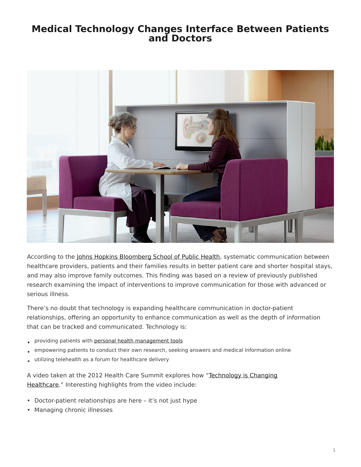## <span id="page-0-0"></span>**Medical Technology Changes Interface Between Patients and Doctors**



According to the [Johns Hopkins Bloomberg School of Public Health](http://www.jhsph.edu/news/news-releases/2012/dy-communication.html), systematic communication between healthcare providers, patients and their families results in better patient care and shorter hospital stays, and may also improve family outcomes. This finding was based on a review of previously published research examining the impact of interventions to improve communication for those with advanced or serious illness.

There's no doubt that technology is expanding healthcare communication in doctor-patient relationships, offering an opportunity to enhance communication as well as the depth of information that can be tracked and communicated. Technology is:

- providing patients with [personal health management tools](https://www.steelcase.com/posts/mobile-health-apps-help-patients-track-care/)
- empowering patients to conduct their own research, seeking answers and medical information online
- utilizing telehealth as a forum for healthcare delivery

A video taken at the 2012 Health Care Summit explores how ["Technology is Changing](http://www.youtube.com/watch?feature=player_embedded&v=_Tl6gGHom_E) [Healthcare.](http://www.youtube.com/watch?feature=player_embedded&v=_Tl6gGHom_E)" Interesting highlights from the video include:

- Doctor-patient relationships are here it's not just hype
- Managing chronic illnesses